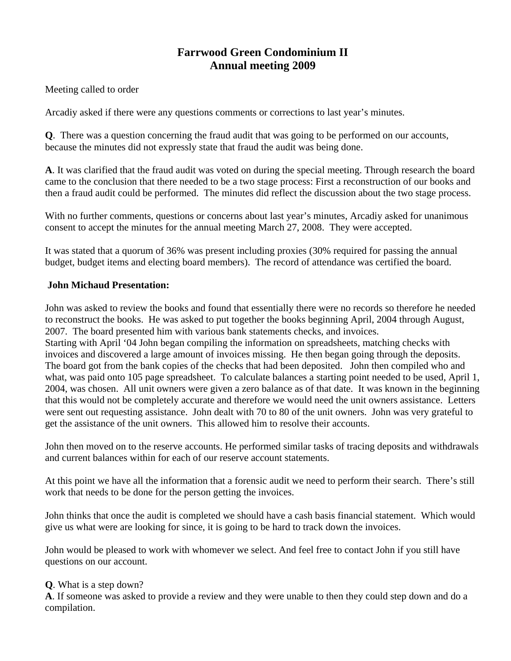# **Farrwood Green Condominium II Annual meeting 2009**

Meeting called to order

Arcadiy asked if there were any questions comments or corrections to last year's minutes.

**Q**. There was a question concerning the fraud audit that was going to be performed on our accounts, because the minutes did not expressly state that fraud the audit was being done.

**A**. It was clarified that the fraud audit was voted on during the special meeting. Through research the board came to the conclusion that there needed to be a two stage process: First a reconstruction of our books and then a fraud audit could be performed. The minutes did reflect the discussion about the two stage process.

With no further comments, questions or concerns about last year's minutes, Arcadiy asked for unanimous consent to accept the minutes for the annual meeting March 27, 2008. They were accepted.

It was stated that a quorum of 36% was present including proxies (30% required for passing the annual budget, budget items and electing board members). The record of attendance was certified the board.

### **John Michaud Presentation:**

John was asked to review the books and found that essentially there were no records so therefore he needed to reconstruct the books. He was asked to put together the books beginning April, 2004 through August, 2007. The board presented him with various bank statements checks, and invoices.

Starting with April '04 John began compiling the information on spreadsheets, matching checks with invoices and discovered a large amount of invoices missing. He then began going through the deposits. The board got from the bank copies of the checks that had been deposited. John then compiled who and what, was paid onto 105 page spreadsheet. To calculate balances a starting point needed to be used, April 1, 2004, was chosen. All unit owners were given a zero balance as of that date. It was known in the beginning that this would not be completely accurate and therefore we would need the unit owners assistance. Letters were sent out requesting assistance. John dealt with 70 to 80 of the unit owners. John was very grateful to get the assistance of the unit owners. This allowed him to resolve their accounts.

John then moved on to the reserve accounts. He performed similar tasks of tracing deposits and withdrawals and current balances within for each of our reserve account statements.

At this point we have all the information that a forensic audit we need to perform their search. There's still work that needs to be done for the person getting the invoices.

John thinks that once the audit is completed we should have a cash basis financial statement. Which would give us what were are looking for since, it is going to be hard to track down the invoices.

John would be pleased to work with whomever we select. And feel free to contact John if you still have questions on our account.

### **Q**. What is a step down?

**A**. If someone was asked to provide a review and they were unable to then they could step down and do a compilation.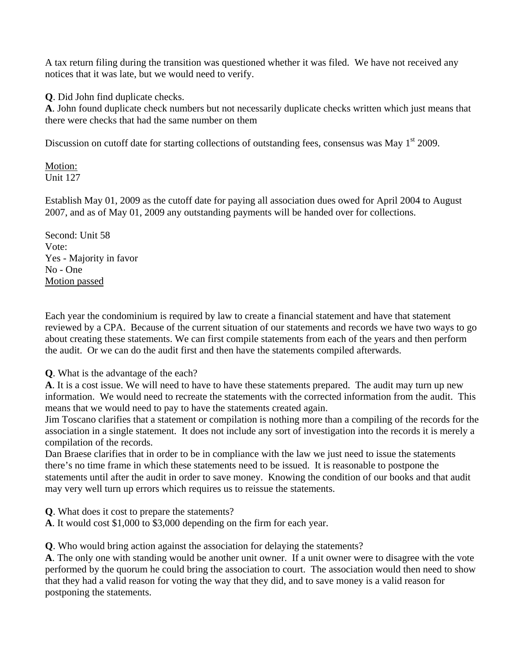A tax return filing during the transition was questioned whether it was filed. We have not received any notices that it was late, but we would need to verify.

**Q**. Did John find duplicate checks.

**A**. John found duplicate check numbers but not necessarily duplicate checks written which just means that there were checks that had the same number on them

Discussion on cutoff date for starting collections of outstanding fees, consensus was May 1<sup>st</sup> 2009.

Motion: Unit 127

Establish May 01, 2009 as the cutoff date for paying all association dues owed for April 2004 to August 2007, and as of May 01, 2009 any outstanding payments will be handed over for collections.

Second: Unit 58 Vote: Yes - Majority in favor No - One Motion passed

Each year the condominium is required by law to create a financial statement and have that statement reviewed by a CPA. Because of the current situation of our statements and records we have two ways to go about creating these statements. We can first compile statements from each of the years and then perform the audit. Or we can do the audit first and then have the statements compiled afterwards.

**Q**. What is the advantage of the each?

**A**. It is a cost issue. We will need to have to have these statements prepared. The audit may turn up new information. We would need to recreate the statements with the corrected information from the audit. This means that we would need to pay to have the statements created again.

Jim Toscano clarifies that a statement or compilation is nothing more than a compiling of the records for the association in a single statement. It does not include any sort of investigation into the records it is merely a compilation of the records.

Dan Braese clarifies that in order to be in compliance with the law we just need to issue the statements there's no time frame in which these statements need to be issued. It is reasonable to postpone the statements until after the audit in order to save money. Knowing the condition of our books and that audit may very well turn up errors which requires us to reissue the statements.

**Q**. What does it cost to prepare the statements?

**A**. It would cost \$1,000 to \$3,000 depending on the firm for each year.

**Q**. Who would bring action against the association for delaying the statements?

**A**. The only one with standing would be another unit owner. If a unit owner were to disagree with the vote performed by the quorum he could bring the association to court. The association would then need to show that they had a valid reason for voting the way that they did, and to save money is a valid reason for postponing the statements.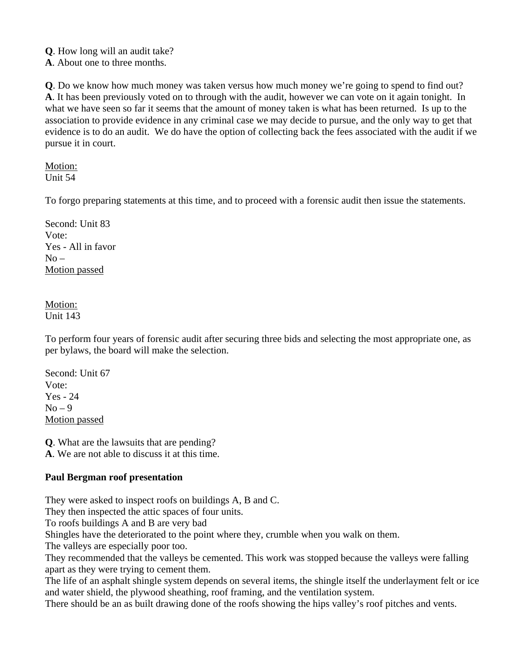**Q**. How long will an audit take?

**A**. About one to three months.

**Q**. Do we know how much money was taken versus how much money we're going to spend to find out? **A**. It has been previously voted on to through with the audit, however we can vote on it again tonight. In what we have seen so far it seems that the amount of money taken is what has been returned. Is up to the association to provide evidence in any criminal case we may decide to pursue, and the only way to get that evidence is to do an audit. We do have the option of collecting back the fees associated with the audit if we pursue it in court.

Motion: Unit 54

To forgo preparing statements at this time, and to proceed with a forensic audit then issue the statements.

Second: Unit 83 Vote: Yes - All in favor  $No -$ Motion passed

Motion: Unit 143

To perform four years of forensic audit after securing three bids and selecting the most appropriate one, as per bylaws, the board will make the selection.

Second: Unit 67 Vote: Yes - 24  $No - 9$ Motion passed

**Q**. What are the lawsuits that are pending?

**A**. We are not able to discuss it at this time.

## **Paul Bergman roof presentation**

They were asked to inspect roofs on buildings A, B and C.

They then inspected the attic spaces of four units.

To roofs buildings A and B are very bad

Shingles have the deteriorated to the point where they, crumble when you walk on them.

The valleys are especially poor too.

They recommended that the valleys be cemented. This work was stopped because the valleys were falling apart as they were trying to cement them.

The life of an asphalt shingle system depends on several items, the shingle itself the underlayment felt or ice and water shield, the plywood sheathing, roof framing, and the ventilation system.

There should be an as built drawing done of the roofs showing the hips valley's roof pitches and vents.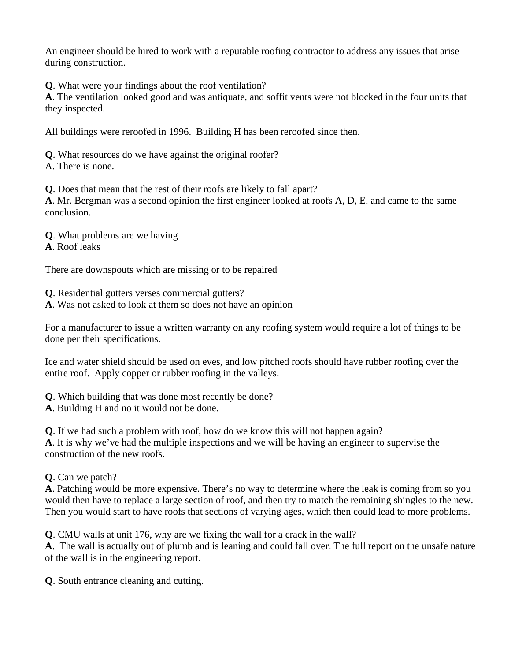An engineer should be hired to work with a reputable roofing contractor to address any issues that arise during construction.

**Q**. What were your findings about the roof ventilation?

**A**. The ventilation looked good and was antiquate, and soffit vents were not blocked in the four units that they inspected.

All buildings were reroofed in 1996. Building H has been reroofed since then.

**Q**. What resources do we have against the original roofer?

A. There is none.

**Q**. Does that mean that the rest of their roofs are likely to fall apart?

**A**. Mr. Bergman was a second opinion the first engineer looked at roofs A, D, E. and came to the same conclusion.

**Q**. What problems are we having

**A**. Roof leaks

There are downspouts which are missing or to be repaired

**Q**. Residential gutters verses commercial gutters?

**A**. Was not asked to look at them so does not have an opinion

For a manufacturer to issue a written warranty on any roofing system would require a lot of things to be done per their specifications.

Ice and water shield should be used on eves, and low pitched roofs should have rubber roofing over the entire roof. Apply copper or rubber roofing in the valleys.

**Q**. Which building that was done most recently be done?

**A**. Building H and no it would not be done.

**Q**. If we had such a problem with roof, how do we know this will not happen again? **A**. It is why we've had the multiple inspections and we will be having an engineer to supervise the construction of the new roofs.

# **Q**. Can we patch?

**A**. Patching would be more expensive. There's no way to determine where the leak is coming from so you would then have to replace a large section of roof, and then try to match the remaining shingles to the new. Then you would start to have roofs that sections of varying ages, which then could lead to more problems.

**Q**. CMU walls at unit 176, why are we fixing the wall for a crack in the wall?

**A**. The wall is actually out of plumb and is leaning and could fall over. The full report on the unsafe nature of the wall is in the engineering report.

**Q**. South entrance cleaning and cutting.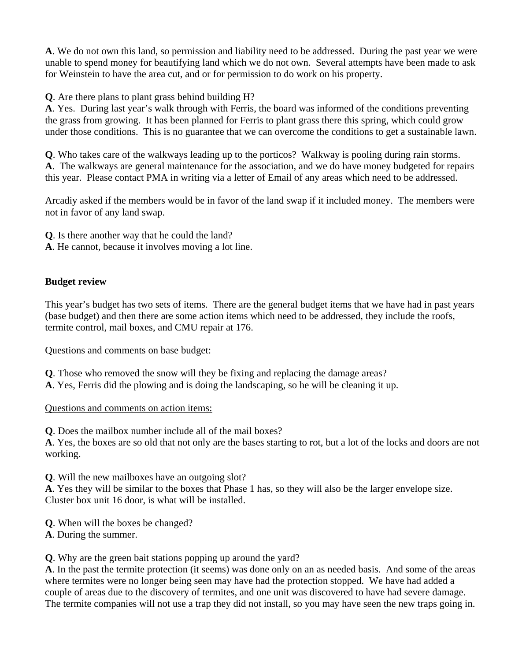**A**. We do not own this land, so permission and liability need to be addressed. During the past year we were unable to spend money for beautifying land which we do not own. Several attempts have been made to ask for Weinstein to have the area cut, and or for permission to do work on his property.

**Q**. Are there plans to plant grass behind building H?

**A**. Yes. During last year's walk through with Ferris, the board was informed of the conditions preventing the grass from growing. It has been planned for Ferris to plant grass there this spring, which could grow under those conditions. This is no guarantee that we can overcome the conditions to get a sustainable lawn.

**Q**. Who takes care of the walkways leading up to the porticos? Walkway is pooling during rain storms. **A**. The walkways are general maintenance for the association, and we do have money budgeted for repairs this year. Please contact PMA in writing via a letter of Email of any areas which need to be addressed.

Arcadiy asked if the members would be in favor of the land swap if it included money. The members were not in favor of any land swap.

**Q**. Is there another way that he could the land?

**A**. He cannot, because it involves moving a lot line.

## **Budget review**

This year's budget has two sets of items. There are the general budget items that we have had in past years (base budget) and then there are some action items which need to be addressed, they include the roofs, termite control, mail boxes, and CMU repair at 176.

### Questions and comments on base budget:

**Q**. Those who removed the snow will they be fixing and replacing the damage areas?

**A**. Yes, Ferris did the plowing and is doing the landscaping, so he will be cleaning it up.

### Questions and comments on action items:

**Q**. Does the mailbox number include all of the mail boxes?

**A**. Yes, the boxes are so old that not only are the bases starting to rot, but a lot of the locks and doors are not working.

**Q**. Will the new mailboxes have an outgoing slot?

**A**. Yes they will be similar to the boxes that Phase 1 has, so they will also be the larger envelope size. Cluster box unit 16 door, is what will be installed.

- **Q**. When will the boxes be changed?
- **A**. During the summer.

**Q**. Why are the green bait stations popping up around the yard?

**A**. In the past the termite protection (it seems) was done only on an as needed basis. And some of the areas where termites were no longer being seen may have had the protection stopped. We have had added a couple of areas due to the discovery of termites, and one unit was discovered to have had severe damage. The termite companies will not use a trap they did not install, so you may have seen the new traps going in.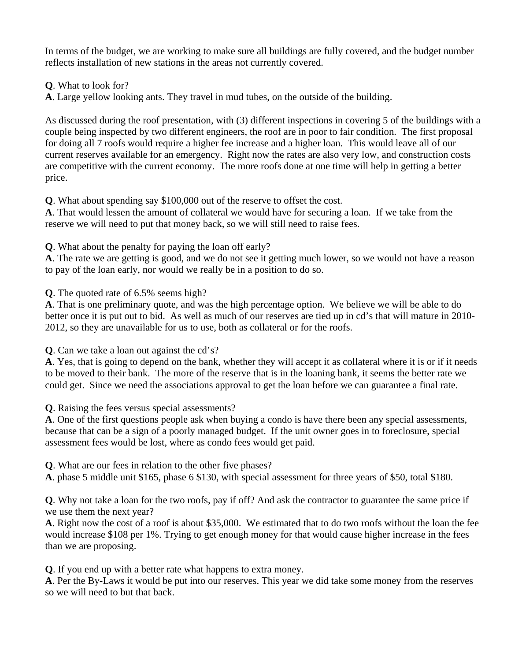In terms of the budget, we are working to make sure all buildings are fully covered, and the budget number reflects installation of new stations in the areas not currently covered.

**Q**. What to look for?

**A**. Large yellow looking ants. They travel in mud tubes, on the outside of the building.

As discussed during the roof presentation, with (3) different inspections in covering 5 of the buildings with a couple being inspected by two different engineers, the roof are in poor to fair condition. The first proposal for doing all 7 roofs would require a higher fee increase and a higher loan. This would leave all of our current reserves available for an emergency. Right now the rates are also very low, and construction costs are competitive with the current economy. The more roofs done at one time will help in getting a better price.

**Q**. What about spending say \$100,000 out of the reserve to offset the cost.

**A**. That would lessen the amount of collateral we would have for securing a loan. If we take from the reserve we will need to put that money back, so we will still need to raise fees.

**Q**. What about the penalty for paying the loan off early?

**A**. The rate we are getting is good, and we do not see it getting much lower, so we would not have a reason to pay of the loan early, nor would we really be in a position to do so.

**Q**. The quoted rate of 6.5% seems high?

**A**. That is one preliminary quote, and was the high percentage option. We believe we will be able to do better once it is put out to bid. As well as much of our reserves are tied up in cd's that will mature in 2010- 2012, so they are unavailable for us to use, both as collateral or for the roofs.

**Q**. Can we take a loan out against the cd's?

**A**. Yes, that is going to depend on the bank, whether they will accept it as collateral where it is or if it needs to be moved to their bank. The more of the reserve that is in the loaning bank, it seems the better rate we could get. Since we need the associations approval to get the loan before we can guarantee a final rate.

**Q**. Raising the fees versus special assessments?

**A**. One of the first questions people ask when buying a condo is have there been any special assessments, because that can be a sign of a poorly managed budget. If the unit owner goes in to foreclosure, special assessment fees would be lost, where as condo fees would get paid.

**Q**. What are our fees in relation to the other five phases?

**A**. phase 5 middle unit \$165, phase 6 \$130, with special assessment for three years of \$50, total \$180.

**Q**. Why not take a loan for the two roofs, pay if off? And ask the contractor to guarantee the same price if we use them the next year?

**A**. Right now the cost of a roof is about \$35,000. We estimated that to do two roofs without the loan the fee would increase \$108 per 1%. Trying to get enough money for that would cause higher increase in the fees than we are proposing.

**Q**. If you end up with a better rate what happens to extra money.

**A**. Per the By-Laws it would be put into our reserves. This year we did take some money from the reserves so we will need to but that back.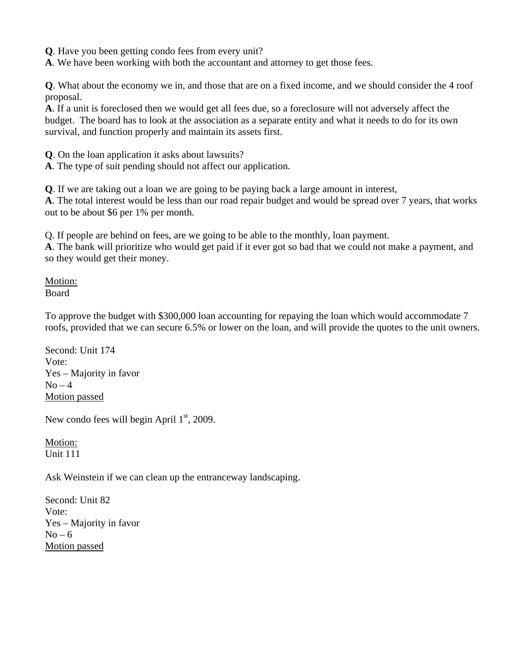**Q**. Have you been getting condo fees from every unit?

**A**. We have been working with both the accountant and attorney to get those fees.

**Q**. What about the economy we in, and those that are on a fixed income, and we should consider the 4 roof proposal.

**A**. If a unit is foreclosed then we would get all fees due, so a foreclosure will not adversely affect the budget. The board has to look at the association as a separate entity and what it needs to do for its own survival, and function properly and maintain its assets first.

**Q**. On the loan application it asks about lawsuits?

**A**. The type of suit pending should not affect our application.

**Q**. If we are taking out a loan we are going to be paying back a large amount in interest,

**A**. The total interest would be less than our road repair budget and would be spread over 7 years, that works out to be about \$6 per 1% per month.

Q. If people are behind on fees, are we going to be able to the monthly, loan payment.

**A**. The bank will prioritize who would get paid if it ever got so bad that we could not make a payment, and so they would get their money.

Motion: Board

To approve the budget with \$300,000 loan accounting for repaying the loan which would accommodate 7 roofs, provided that we can secure 6.5% or lower on the loan, and will provide the quotes to the unit owners.

Second: Unit 174 Vote: Yes – Majority in favor  $No-4$ Motion passed

New condo fees will begin April  $1<sup>st</sup>$ , 2009.

Motion: Unit 111

Ask Weinstein if we can clean up the entranceway landscaping.

Second: Unit 82 Vote: Yes – Majority in favor  $No - 6$ Motion passed